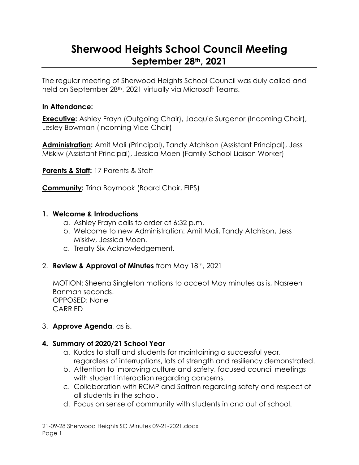# **Sherwood Heights School Council Meeting September 28th, 2021**

The regular meeting of Sherwood Heights School Council was duly called and held on September 28<sup>th</sup>, 2021 virtually via Microsoft Teams.

#### **In Attendance:**

**Executive:** Ashley Frayn (Outgoing Chair), Jacquie Surgenor (Incoming Chair), Lesley Bowman (Incoming Vice-Chair)

**Administration:** Amit Mali (Principal), Tandy Atchison (Assistant Principal), Jess Miskiw (Assistant Principal), Jessica Moen (Family-School Liaison Worker)

**Parents & Staff:** 17 Parents & Staff

**Community:** Trina Boymook (Board Chair, EIPS)

#### **1. Welcome & Introductions**

- a. Ashley Frayn calls to order at 6:32 p.m.
- b. Welcome to new Administration: Amit Mali, Tandy Atchison, Jess Miskiw, Jessica Moen.
- c. Treaty Six Acknowledgement.

### 2. **Review & Approval of Minutes** from May 18th, 2021

MOTION: Sheena Singleton motions to accept May minutes as is, Nasreen Banman seconds. OPPOSED: None CARRIED

### 3. **Approve Agenda**, as is.

#### **4. Summary of 2020/21 School Year**

- a. Kudos to staff and students for maintaining a successful year, regardless of interruptions, lots of strength and resiliency demonstrated.
- b. Attention to improving culture and safety, focused council meetings with student interaction regarding concerns.
- c. Collaboration with RCMP and Saffron regarding safety and respect of all students in the school.
- d. Focus on sense of community with students in and out of school.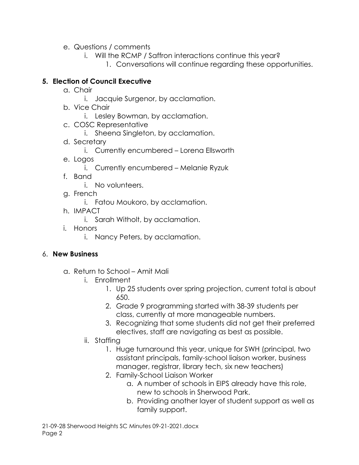- e. Questions / comments
	- i. Will the RCMP / Saffron interactions continue this year?
		- 1. Conversations will continue regarding these opportunities.

#### **5. Election of Council Executive**

- a. Chair
	- i. Jacquie Surgenor, by acclamation.
- b. Vice Chair
	- i. Lesley Bowman, by acclamation.
- c. COSC Representative
	- i. Sheena Singleton, by acclamation.
- d. Secretary
	- i. Currently encumbered Lorena Ellsworth
- e. Logos
	- i. Currently encumbered Melanie Ryzuk
- f. Band
	- i. No volunteers.
- g. French
	- i. Fatou Moukoro, by acclamation.
- h. IMPACT
	- i. Sarah Witholt, by acclamation.
- i. Honors
	- i. Nancy Peters, by acclamation.

### 6. **New Business**

- a. Return to School Amit Mali
	- i. Enrollment
		- 1. Up 25 students over spring projection, current total is about 650.
		- 2. Grade 9 programming started with 38-39 students per class, currently at more manageable numbers.
		- 3. Recognizing that some students did not get their preferred electives, staff are navigating as best as possible.
	- ii. Staffing
		- 1. Huge turnaround this year, unique for SWH (principal, two assistant principals, family-school liaison worker, business manager, registrar, library tech, six new teachers)
		- 2. Family-School Liaison Worker
			- a. A number of schools in EIPS already have this role, new to schools in Sherwood Park.
			- b. Providing another layer of student support as well as family support.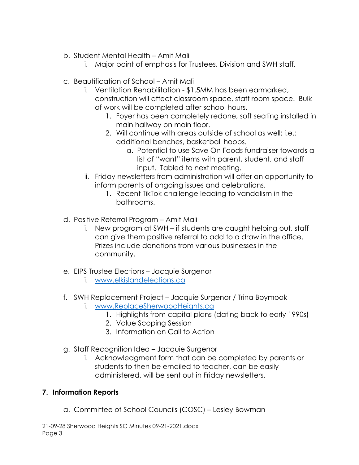- b. Student Mental Health Amit Mali
	- i. Major point of emphasis for Trustees, Division and SWH staff.
- c. Beautification of School Amit Mali
	- i. Ventilation Rehabilitation \$1.5MM has been earmarked, construction will affect classroom space, staff room space. Bulk of work will be completed after school hours.
		- 1. Foyer has been completely redone, soft seating installed in main hallway on main floor.
		- 2. Will continue with areas outside of school as well: i.e.: additional benches, basketball hoops.
			- a. Potential to use Save On Foods fundraiser towards a list of "want" items with parent, student, and staff input. Tabled to next meeting.
	- ii. Friday newsletters from administration will offer an opportunity to inform parents of ongoing issues and celebrations.
		- 1. Recent TikTok challenge leading to vandalism in the bathrooms.
- d. Positive Referral Program Amit Mali
	- i. New program at SWH if students are caught helping out, staff can give them positive referral to add to a draw in the office. Prizes include donations from various businesses in the community.
- e. EIPS Trustee Elections Jacquie Surgenor
	- i. [www.elkislandelections.ca](http://www.elkislandelections.ca/)
- f. SWH Replacement Project Jacquie Surgenor / Trina Boymook
	- i. [www.ReplaceSherwoodHeights.ca](http://www.replacesherwoodheights.ca/)
		- 1. Highlights from capital plans (dating back to early 1990s)
		- 2. Value Scoping Session
		- 3. Information on Call to Action
- g. Staff Recognition Idea Jacquie Surgenor
	- i. Acknowledgment form that can be completed by parents or students to then be emailed to teacher, can be easily administered, will be sent out in Friday newsletters.

## **7. Information Reports**

a. Committee of School Councils (COSC) – Lesley Bowman

21-09-28 Sherwood Heights SC Minutes 09-21-2021.docx Page 3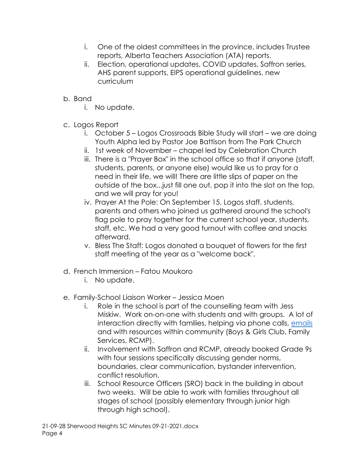- i. One of the oldest committees in the province, includes Trustee reports, Alberta Teachers Association (ATA) reports.
- ii. Election, operational updates, COVID updates, Saffron series, AHS parent supports, EIPS operational guidelines, new curriculum
- b. Band
	- i. No update.
- c. Logos Report
	- i. October 5 Logos Crossroads Bible Study will start we are doing Youth Alpha led by Pastor Joe Battison from The Park Church
	- ii. 1st week of November chapel led by Celebration Church
	- iii. There is a "Prayer Box" in the school office so that if anyone (staff, students, parents, or anyone else) would like us to pray for a need in their life, we will! There are little slips of paper on the outside of the box...just fill one out, pop it into the slot on the top, and we will pray for you!
	- iv. Prayer At the Pole: On September 15, Logos staff, students, parents and others who joined us gathered around the school's flag pole to pray together for the current school year, students, staff, etc. We had a very good turnout with coffee and snacks afterward.
	- v. Bless The Staff: Logos donated a bouquet of flowers for the first staff meeting of the year as a "welcome back".
- d. French Immersion Fatou Moukoro
	- i. No update.
- e. Family-School Liaison Worker Jessica Moen
	- i. Role in the school is part of the counselling team with Jess Miskiw. Work on-on-one with students and with groups. A lot of interaction directly with families, helping via phone calls, [emails](mailto:jessica.moen@eips.ca) and with resources within community (Boys & Girls Club, Family Services, RCMP).
	- ii. Involvement with Saffron and RCMP, already booked Grade 9s with four sessions specifically discussing gender norms, boundaries, clear communication, bystander intervention, conflict resolution.
	- iii. School Resource Officers (SRO) back in the building in about two weeks. Will be able to work with families throughout all stages of school (possibly elementary through junior high through high school).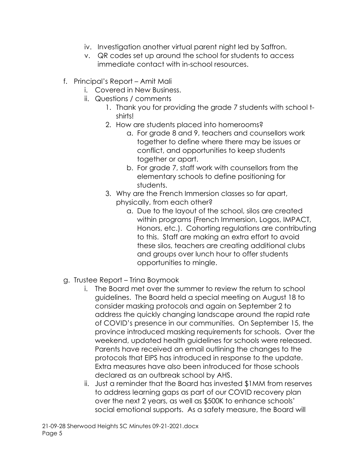- iv. Investigation another virtual parent night led by Saffron.
- v. QR codes set up around the school for students to access immediate contact with in-school resources.
- f. Principal's Report Amit Mali
	- i. Covered in New Business.
	- ii. Questions / comments
		- 1. Thank you for providing the grade 7 students with school tshirts!
		- 2. How are students placed into homerooms?
			- a. For grade 8 and 9, teachers and counsellors work together to define where there may be issues or conflict, and opportunities to keep students together or apart.
			- b. For grade 7, staff work with counsellors from the elementary schools to define positioning for students.
		- 3. Why are the French Immersion classes so far apart, physically, from each other?
			- a. Due to the layout of the school, silos are created within programs (French Immersion, Logos, IMPACT, Honors, etc.). Cohorting regulations are contributing to this. Staff are making an extra effort to avoid these silos, teachers are creating additional clubs and groups over lunch hour to offer students opportunities to mingle.
- g. Trustee Report Trina Boymook
	- i. The Board met over the summer to review the return to school guidelines. The Board held a special meeting on August 18 to consider masking protocols and again on September 2 to address the quickly changing landscape around the rapid rate of COVID's presence in our communities. On September 15, the province introduced masking requirements for schools. Over the weekend, updated health guidelines for schools were released. Parents have received an email outlining the changes to the protocols that EIPS has introduced in response to the update. Extra measures have also been introduced for those schools declared as an outbreak school by AHS.
	- ii. Just a reminder that the Board has invested \$1MM from reserves to address learning gaps as part of our COVID recovery plan over the next 2 years, as well as \$500K to enhance schools' social emotional supports. As a safety measure, the Board will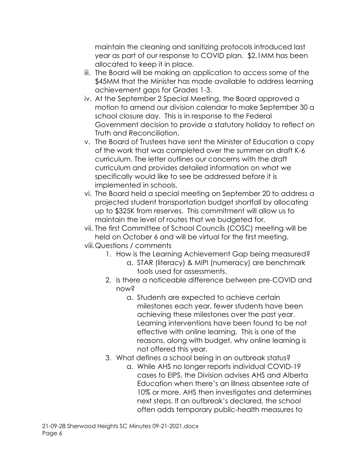maintain the cleaning and sanitizing protocols introduced last year as part of our response to COVID plan. \$2.1MM has been allocated to keep it in place.

- iii. The Board will be making an application to access some of the \$45MM that the Minister has made available to address learning achievement gaps for Grades 1-3.
- iv. At the September 2 Special Meeting, the Board approved a motion to amend our division calendar to make September 30 a school closure day. This is in response to the Federal Government decision to provide a statutory holiday to reflect on Truth and Reconciliation.
- v. The Board of Trustees have sent the Minister of Education a copy of the work that was completed over the summer on draft K-6 curriculum. The letter outlines our concerns with the draft curriculum and provides detailed information on what we specifically would like to see be addressed before it is implemented in schools.
- vi. The Board held a special meeting on September 20 to address a projected student transportation budget shortfall by allocating up to \$325K from reserves. This commitment will allow us to maintain the level of routes that we budgeted for.
- vii. The first Committee of School Councils (COSC) meeting will be held on October 6 and will be virtual for the first meeting. viii.Questions / comments
	- 1. How is the Learning Achievement Gap being measured?
		- a. STAR (literacy) & MIPI (numeracy) are benchmark tools used for assessments.
	- 2. Is there a noticeable difference between pre-COVID and now?
		- a. Students are expected to achieve certain milestones each year, fewer students have been achieving these milestones over the past year. Learning interventions have been found to be not effective with online learning. This is one of the reasons, along with budget, why online learning is not offered this year.
	- 3. What defines a school being in an outbreak status?
		- a. While AHS no longer reports individual COVID-19 cases to EIPS, the Division advises AHS and Alberta Education when there's an illness absentee rate of 10% or more. AHS then investigates and determines next steps. If an outbreak's declared, the school often adds temporary public-health measures to